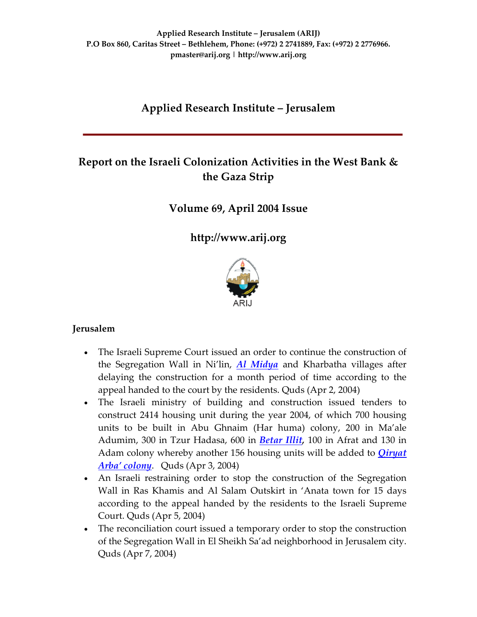# **Applied Research Institute – Jerusalem**

# **Report on the Israeli Colonization Activities in the West Bank & the Gaza Strip**

### **Volume 69, April 2004 Issue**

**[http://www.arij.org](http://www.arij.org/)**



### **Jerusalem**

- The Israeli Supreme Court issued an order to continue the construction of the Segregation Wall in Ni'lin, *Al [Midya](http://www.poica.org/editor/case_studies/view.php?recordID=285)* and Kharbatha villages after delaying the construction for a month period of time according to the appeal handed to the court by the residents. Quds (Apr 2, 2004)
- The Israeli ministry of building and construction issued tenders to construct 2414 housing unit during the year 2004, of which 700 housing units to be built in Abu Ghnaim (Har huma) colony, 200 in Ma'ale Adumim, 300 in Tzur Hadasa, 600 in *[Betar](http://www.poica.org/editor/case_studies/view.php?recordID=211) Illit,* 100 in Afrat and 130 in Adam colony whereby another 156 housing units will be added to *[Qiryat](http://www.poica.org/editor/case_studies/view.php?recordID=317) Arba' [colony](http://www.poica.org/editor/case_studies/view.php?recordID=317)*. Quds (Apr 3, 2004)
- An Israeli restraining order to stop the construction of the Segregation Wall in Ras Khamis and Al Salam Outskirt in 'Anata town for 15 days according to the appeal handed by the residents to the Israeli Supreme Court. Quds (Apr 5, 2004)
- The reconciliation court issued a temporary order to stop the construction of the Segregation Wall in El Sheikh Sa'ad neighborhood in Jerusalem city. Quds (Apr 7, 2004)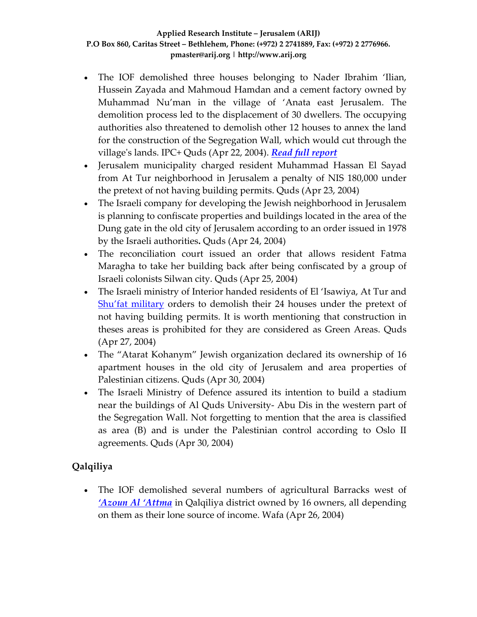- The IOF demolished three houses belonging to Nader Ibrahim 'Ilian, Hussein Zayada and Mahmoud Hamdan and a cement factory owned by Muhammad Nu'man in the village of 'Anata east Jerusalem. The demolition process led to the displacement of 30 dwellers. The occupying authorities also threatened to demolish other 12 houses to annex the land for the construction of the Segregation Wall, which would cut through the villageʹs lands. IPC+ Quds (Apr 22, 2004). *Read full [report](http://www.poica.org/editor/case_studies/view.php?recordID=351)*
- Jerusalem municipality charged resident Muhammad Hassan El Sayad from At Tur neighborhood in Jerusalem a penalty of NIS 180,000 under the pretext of not having building permits. Quds (Apr 23, 2004)
- The Israeli company for developing the Jewish neighborhood in Jerusalem is planning to confiscate properties and buildings located in the area of the Dung gate in the old city of Jerusalem according to an order issued in 1978 by the Israeli authorities**.** Quds (Apr 24, 2004)
- The reconciliation court issued an order that allows resident Fatma Maragha to take her building back after being confiscated by a group of Israeli colonists Silwan city. Quds (Apr 25, 2004)
- The Israeli ministry of Interior handed residents of El 'Isawiya, At Tur and Shu'fat [military](http://www.poica.org/editor/case_studies/view.php?recordID=332) orders to demolish their 24 houses under the pretext of not having building permits. It is worth mentioning that construction in theses areas is prohibited for they are considered as Green Areas. Quds (Apr 27, 2004)
- The "Atarat Kohanym" Jewish organization declared its ownership of 16 apartment houses in the old city of Jerusalem and area properties of Palestinian citizens. Quds (Apr 30, 2004)
- The Israeli Ministry of Defence assured its intention to build a stadium near the buildings of Al Quds University‐ Abu Dis in the western part of the Segregation Wall. Not forgetting to mention that the area is classified as area (B) and is under the Palestinian control according to Oslo II agreements. Quds (Apr 30, 2004)

# **Qalqiliya**

• The IOF demolished several numbers of agricultural Barracks west of *['Azoun](http://www.poica.org/editor/case_studies/view.php?recordID=241) Al 'Attma* in Qalqiliya district owned by 16 owners, all depending on them as their lone source of income. Wafa (Apr 26, 2004)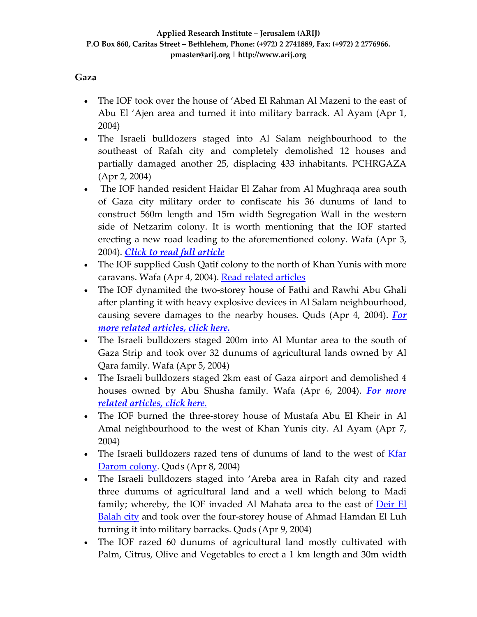### **Gaza**

- The IOF took over the house of 'Abed El Rahman Al Mazeni to the east of Abu El 'Ajen area and turned it into military barrack. Al Ayam (Apr 1, 2004)
- The Israeli bulldozers staged into Al Salam neighbourhood to the southeast of Rafah city and completely demolished 12 houses and partially damaged another 25, displacing 433 inhabitants. PCHRGAZA (Apr 2, 2004)
- The IOF handed resident Haidar El Zahar from Al Mughraqa area south of Gaza city military order to confiscate his 36 dunums of land to construct 560m length and 15m width Segregation Wall in the western side of Netzarim colony. It is worth mentioning that the IOF started erecting a new road leading to the aforementioned colony. Wafa (Apr 3, 2004). *Click to read full [article](http://www.poica.org/editor/case_studies/view.php?recordID=363)*
- The IOF supplied Gush Qatif colony to the north of Khan Yunis with more caravans. Wafa (Apr 4, 2004). Read related [articles](http://www.poica.org/editor/case_studies/view.php?recordID=620)
- The IOF dynamited the two‐storey house of Fathi and Rawhi Abu Ghali after planting it with heavy explosive devices in Al Salam neighbourhood, causing severe damages to the nearby houses. Quds (Apr 4, 2004). *[For](http://www.poica.org/editor/case_studies/view.php?recordID=339) more related [articles,](http://www.poica.org/editor/case_studies/view.php?recordID=339) click here.*
- The Israeli bulldozers staged 200m into Al Muntar area to the south of Gaza Strip and took over 32 dunums of agricultural lands owned by Al Qara family. Wafa (Apr 5, 2004)
- The Israeli bulldozers staged 2km east of Gaza airport and demolished 4 houses owned by Abu Shusha family. Wafa (Apr 6, 2004). *For [more](http://www.poica.org/editor/case_studies/view.php?recordID=339) related [articles,](http://www.poica.org/editor/case_studies/view.php?recordID=339) click here.*
- The IOF burned the three-storey house of Mustafa Abu El Kheir in Al Amal neighbourhood to the west of Khan Yunis city. Al Ayam (Apr 7, 2004)
- The Israeli bulldozers razed tens of dunums of land to the west of **[Kfar](http://www.poica.org/editor/case_studies/Kfar%20Darum.jpg)** [Darom](http://www.poica.org/editor/case_studies/Kfar%20Darum.jpg) colony. Quds (Apr 8, 2004)
- The Israeli bulldozers staged into 'Areba area in Rafah city and razed three dunums of agricultural land and a well which belong to Madi family; whereby, the IOF invaded Al Mahata area to the east of **[Deir](http://www.poica.org/editor/case_studies/view.php?recordID=387) El** [Balah](http://www.poica.org/editor/case_studies/view.php?recordID=387) city and took over the four‐storey house of Ahmad Hamdan El Luh turning it into military barracks. Quds (Apr 9, 2004)
- The IOF razed 60 dunums of agricultural land mostly cultivated with Palm, Citrus, Olive and Vegetables to erect a 1 km length and 30m width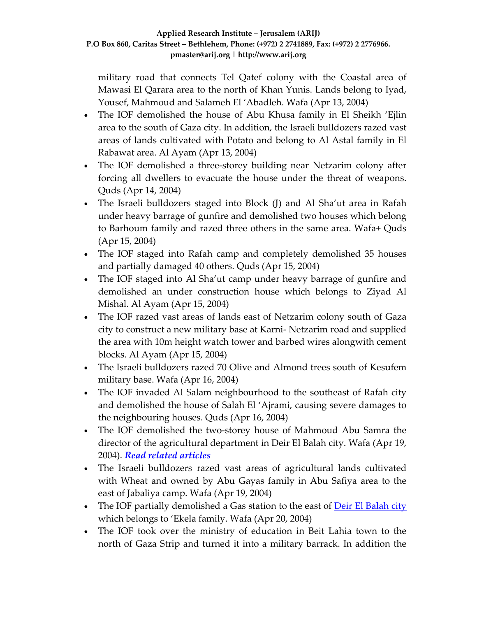military road that connects Tel Qatef colony with the Coastal area of Mawasi El Qarara area to the north of Khan Yunis. Lands belong to Iyad, Yousef, Mahmoud and Salameh El 'Abadleh. Wafa (Apr 13, 2004)

- The IOF demolished the house of Abu Khusa family in El Sheikh 'Ejlin area to the south of Gaza city. In addition, the Israeli bulldozers razed vast areas of lands cultivated with Potato and belong to Al Astal family in El Rabawat area. Al Ayam (Apr 13, 2004)
- The IOF demolished a three-storey building near Netzarim colony after forcing all dwellers to evacuate the house under the threat of weapons. Quds (Apr 14, 2004)
- The Israeli bulldozers staged into Block (J) and Al Sha'ut area in Rafah under heavy barrage of gunfire and demolished two houses which belong to Barhoum family and razed three others in the same area. Wafa+ Quds (Apr 15, 2004)
- The IOF staged into Rafah camp and completely demolished 35 houses and partially damaged 40 others. Quds (Apr 15, 2004)
- The IOF staged into Al Sha'ut camp under heavy barrage of gunfire and demolished an under construction house which belongs to Ziyad Al Mishal. Al Ayam (Apr 15, 2004)
- The IOF razed vast areas of lands east of Netzarim colony south of Gaza city to construct a new military base at Karni‐ Netzarim road and supplied the area with 10m height watch tower and barbed wires alongwith cement blocks. Al Ayam (Apr 15, 2004)
- The Israeli bulldozers razed 70 Olive and Almond trees south of Kesufem military base. Wafa (Apr 16, 2004)
- The IOF invaded Al Salam neighbourhood to the southeast of Rafah city and demolished the house of Salah El 'Ajrami, causing severe damages to the neighbouring houses. Quds (Apr 16, 2004)
- The IOF demolished the two-storey house of Mahmoud Abu Samra the director of the agricultural department in Deir El Balah city. Wafa (Apr 19, 2004). *Read related [articles](http://www.poica.org/editor/case_studies/view.php?recordID=387)*
- The Israeli bulldozers razed vast areas of agricultural lands cultivated with Wheat and owned by Abu Gayas family in Abu Safiya area to the east of Jabaliya camp. Wafa (Apr 19, 2004)
- The IOF partially demolished a Gas station to the east of Deir El [Balah](http://www.poica.org/editor/case_studies/view.php?recordID=387) city which belongs to 'Ekela family. Wafa (Apr 20, 2004)
- The IOF took over the ministry of education in Beit Lahia town to the north of Gaza Strip and turned it into a military barrack. In addition the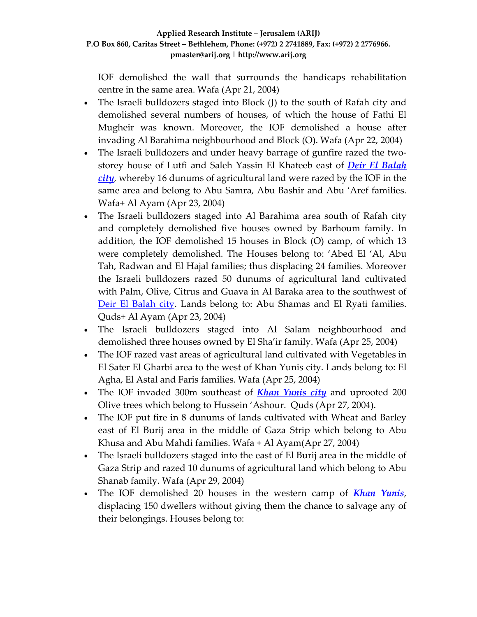IOF demolished the wall that surrounds the handicaps rehabilitation centre in the same area. Wafa (Apr 21, 2004)

- The Israeli bulldozers staged into Block (J) to the south of Rafah city and demolished several numbers of houses, of which the house of Fathi El Mugheir was known. Moreover, the IOF demolished a house after invading Al Barahima neighbourhood and Block (O). Wafa (Apr 22, 2004)
- The Israeli bulldozers and under heavy barrage of gunfire razed the twostorey house of Lutfi and Saleh Yassin El Khateeb east of *Deir El [Balah](http://www.poica.org/editor/case_studies/view.php?recordID=387) [city](http://www.poica.org/editor/case_studies/view.php?recordID=387)*, whereby 16 dunums of agricultural land were razed by the IOF in the same area and belong to Abu Samra, Abu Bashir and Abu 'Aref families. Wafa+ Al Ayam (Apr 23, 2004)
- The Israeli bulldozers staged into Al Barahima area south of Rafah city and completely demolished five houses owned by Barhoum family. In addition, the IOF demolished 15 houses in Block (O) camp, of which 13 were completely demolished. The Houses belong to: 'Abed El 'Al, Abu Tah, Radwan and El Hajal families; thus displacing 24 families. Moreover the Israeli bulldozers razed 50 dunums of agricultural land cultivated with Palm, Olive, Citrus and Guava in Al Baraka area to the southwest of Deir El [Balah](http://www.poica.org/editor/case_studies/view.php?recordID=387) city. Lands belong to: Abu Shamas and El Ryati families. Quds+ Al Ayam (Apr 23, 2004)
- The Israeli bulldozers staged into Al Salam neighbourhood and demolished three houses owned by El Sha'ir family. Wafa (Apr 25, 2004)
- The IOF razed vast areas of agricultural land cultivated with Vegetables in El Sater El Gharbi area to the west of Khan Yunis city. Lands belong to: El Agha, El Astal and Faris families. Wafa (Apr 25, 2004)
- The IOF invaded 300m southeast of *Khan [Yunis](http://www.poica.org/editor/case_studies/view.php?recordID=363) city* and uprooted 200 Olive trees which belong to Hussein 'Ashour. Quds (Apr 27, 2004).
- The IOF put fire in 8 dunums of lands cultivated with Wheat and Barley east of El Burij area in the middle of Gaza Strip which belong to Abu Khusa and Abu Mahdi families. Wafa + Al Ayam(Apr 27, 2004)
- The Israeli bulldozers staged into the east of El Burij area in the middle of Gaza Strip and razed 10 dunums of agricultural land which belong to Abu Shanab family. Wafa (Apr 29, 2004)
- The IOF demolished 20 houses in the western camp of *Khan [Yunis](http://www.poica.org/editor/case_studies/view.php?recordID=363)*, displacing 150 dwellers without giving them the chance to salvage any of their belongings. Houses belong to: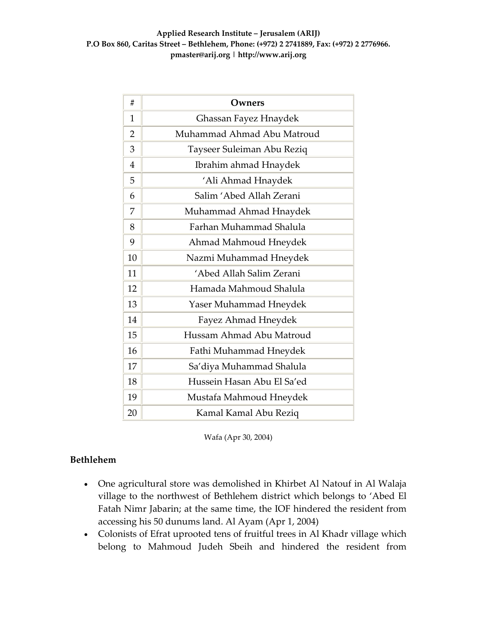| #              | Owners                     |
|----------------|----------------------------|
| 1              | Ghassan Fayez Hnaydek      |
| $\overline{2}$ | Muhammad Ahmad Abu Matroud |
| 3              | Tayseer Suleiman Abu Reziq |
| $\overline{4}$ | Ibrahim ahmad Hnaydek      |
| 5              | 'Ali Ahmad Hnaydek         |
| 6              | Salim 'Abed Allah Zerani   |
| 7              | Muhammad Ahmad Hnaydek     |
| 8              | Farhan Muhammad Shalula    |
| 9              | Ahmad Mahmoud Hneydek      |
| 10             | Nazmi Muhammad Hneydek     |
| 11             | 'Abed Allah Salim Zerani   |
| 12             | Hamada Mahmoud Shalula     |
| 13             | Yaser Muhammad Hneydek     |
| 14             | Fayez Ahmad Hneydek        |
| 15             | Hussam Ahmad Abu Matroud   |
| 16             | Fathi Muhammad Hneydek     |
| 17             | Sa'diya Muhammad Shalula   |
| 18             | Hussein Hasan Abu El Sa'ed |
| 19             | Mustafa Mahmoud Hneydek    |
| 20             | Kamal Kamal Abu Reziq      |

Wafa (Apr 30, 2004)

### **Bethlehem**

- One agricultural store was demolished in Khirbet Al Natouf in Al Walaja village to the northwest of Bethlehem district which belongs to 'Abed El Fatah Nimr Jabarin; at the same time, the IOF hindered the resident from accessing his 50 dunums land. Al Ayam (Apr 1, 2004)
- Colonists of Efrat uprooted tens of fruitful trees in Al Khadr village which belong to Mahmoud Judeh Sbeih and hindered the resident from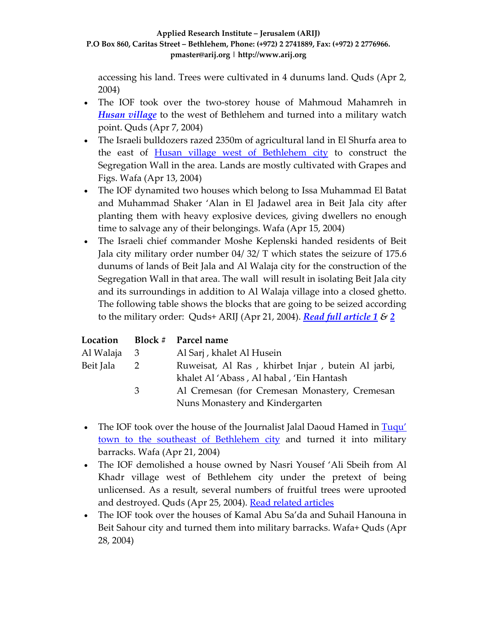accessing his land. Trees were cultivated in 4 dunums land. Quds (Apr 2, 2004)

- The IOF took over the two-storey house of Mahmoud Mahamreh in *Husan [village](http://www.poica.org/editor/case_studies/view.php?recordID=355)* to the west of Bethlehem and turned into a military watch point. Quds (Apr 7, 2004)
- The Israeli bulldozers razed 2350m of agricultural land in El Shurfa area to the east of Husan village west of [Bethlehem](http://www.poica.org/editor/case_studies/view.php?recordID=355) city to construct the Segregation Wall in the area. Lands are mostly cultivated with Grapes and Figs. Wafa (Apr 13, 2004)
- The IOF dynamited two houses which belong to Issa Muhammad El Batat and Muhammad Shaker 'Alan in El Jadawel area in Beit Jala city after planting them with heavy explosive devices, giving dwellers no enough time to salvage any of their belongings. Wafa (Apr 15, 2004)
- The Israeli chief commander Moshe Keplenski handed residents of Beit Jala city military order number 04/ 32/ T which states the seizure of 175.6 dunums of lands of Beit Jala and Al Walaja city for the construction of the Segregation Wall in that area. The wall will result in isolating Beit Jala city and its surroundings in addition to Al Walaja village into a closed ghetto. The following table shows the blocks that are going to be seized according to the military order: Quds+ ARIJ (Apr 21, 2004). *Read full [article](http://www.poica.org/editor/case_studies/view.php?recordID=368) 1 & [2](http://www.poica.org/editor/case_studies/view.php?recordID=357)*

|             |                | Location Block # Parcel name                      |  |  |
|-------------|----------------|---------------------------------------------------|--|--|
| Al Walaja 3 |                | Al Sarj, khalet Al Husein                         |  |  |
| Beit Jala   | $\overline{2}$ | Ruweisat, Al Ras, khirbet Injar, butein Al jarbi, |  |  |
|             |                | khalet Al 'Abass, Al habal, 'Ein Hantash          |  |  |
|             | 3              | Al Cremesan (for Cremesan Monastery, Cremesan     |  |  |
|             |                | Nuns Monastery and Kindergarten                   |  |  |

- The IOF took over the house of the Journalist Jalal Daoud Hamed in [Tuqu'](http://www.poica.org/editor/case_studies/view.php?recordID=346) town to the southeast of [Bethlehem](http://www.poica.org/editor/case_studies/view.php?recordID=346) city and turned it into military barracks. Wafa (Apr 21, 2004)
- The IOF demolished a house owned by Nasri Yousef 'Ali Sbeih from Al Khadr village west of Bethlehem city under the pretext of being unlicensed. As a result, several numbers of fruitful trees were uprooted and destroyed. Quds (Apr 25, 2004). Read related [articles](http://www.poica.org/editor/case_studies/view.php?recordID=345)
- The IOF took over the houses of Kamal Abu Sa'da and Suhail Hanouna in Beit Sahour city and turned them into military barracks. Wafa+ Quds (Apr 28, 2004)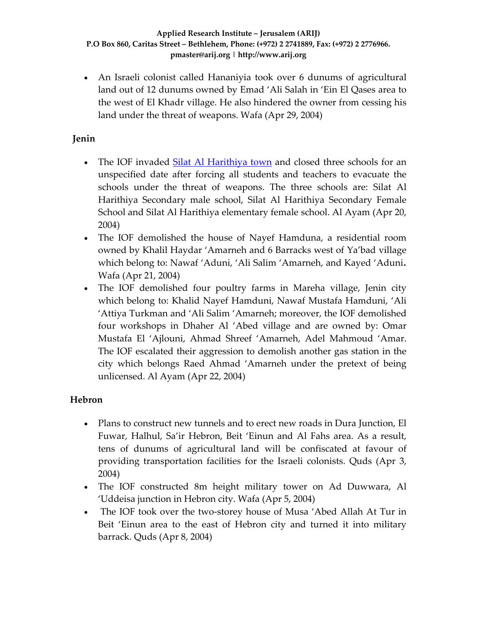• An Israeli colonist called Hananiyia took over 6 dunums of agricultural land out of 12 dunums owned by Emad 'Ali Salah in 'Ein El Qases area to the west of El Khadr village. He also hindered the owner from cessing his land under the threat of weapons. Wafa (Apr 29, 2004)

### **Jenin**

- The IOF invaded **Silat Al [Harithiya](http://www.poica.org/editor/case_studies/view.php?recordID=342) town** and closed three schools for an unspecified date after forcing all students and teachers to evacuate the schools under the threat of weapons. The three schools are: Silat Al Harithiya Secondary male school, Silat Al Harithiya Secondary Female School and Silat Al Harithiya elementary female school. Al Ayam (Apr 20, 2004)
- The IOF demolished the house of Nayef Hamduna, a residential room owned by Khalil Haydar 'Amarneh and 6 Barracks west of Ya'bad village which belong to: Nawaf 'Aduni, 'Ali Salim 'Amarneh, and Kayed 'Aduni**.** Wafa (Apr 21, 2004)
- The IOF demolished four poultry farms in Mareha village, Jenin city which belong to: Khalid Nayef Hamduni, Nawaf Mustafa Hamduni, 'Ali 'Attiya Turkman and 'Ali Salim 'Amarneh; moreover, the IOF demolished four workshops in Dhaher Al 'Abed village and are owned by: Omar Mustafa El 'Ajlouni, Ahmad Shreef 'Amarneh, Adel Mahmoud 'Amar. The IOF escalated their aggression to demolish another gas station in the city which belongs Raed Ahmad 'Amarneh under the pretext of being unlicensed. Al Ayam (Apr 22, 2004)

### **Hebron**

- Plans to construct new tunnels and to erect new roads in Dura Junction, El Fuwar, Halhul, Sa'ir Hebron, Beit 'Einun and Al Fahs area. As a result, tens of dunums of agricultural land will be confiscated at favour of providing transportation facilities for the Israeli colonists. Quds (Apr 3, 2004)
- The IOF constructed 8m height military tower on Ad Duwwara, Al 'Uddeisa junction in Hebron city. Wafa (Apr 5, 2004)
- The IOF took over the two-storey house of Musa 'Abed Allah At Tur in Beit 'Einun area to the east of Hebron city and turned it into military barrack. Quds (Apr 8, 2004)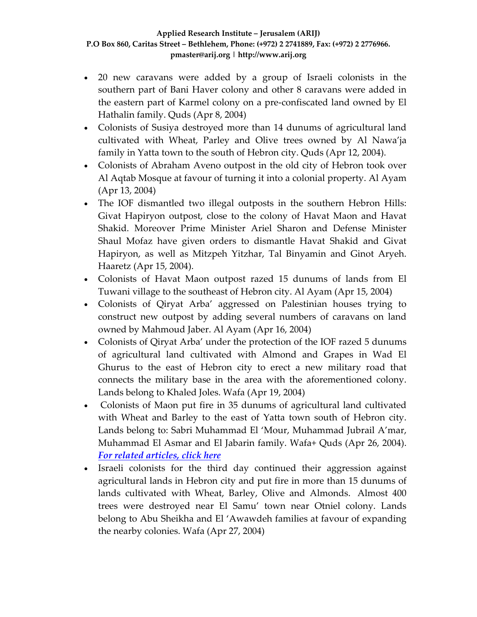- 20 new caravans were added by a group of Israeli colonists in the southern part of Bani Haver colony and other 8 caravans were added in the eastern part of Karmel colony on a pre‐confiscated land owned by El Hathalin family. Quds (Apr 8, 2004)
- Colonists of Susiya destroyed more than 14 dunums of agricultural land cultivated with Wheat, Parley and Olive trees owned by Al Nawa'ja family in Yatta town to the south of Hebron city. Quds (Apr 12, 2004).
- Colonists of Abraham Aveno outpost in the old city of Hebron took over Al Aqtab Mosque at favour of turning it into a colonial property. Al Ayam (Apr 13, 2004)
- The IOF dismantled two illegal outposts in the southern Hebron Hills: Givat Hapiryon outpost, close to the colony of Havat Maon and Havat Shakid. Moreover Prime Minister Ariel Sharon and Defense Minister Shaul Mofaz have given orders to dismantle Havat Shakid and Givat Hapiryon, as well as Mitzpeh Yitzhar, Tal Binyamin and Ginot Aryeh. Haaretz (Apr 15, 2004).
- Colonists of Havat Maon outpost razed 15 dunums of lands from El Tuwani village to the southeast of Hebron city. Al Ayam (Apr 15, 2004)
- Colonists of Qiryat Arba' aggressed on Palestinian houses trying to construct new outpost by adding several numbers of caravans on land owned by Mahmoud Jaber. Al Ayam (Apr 16, 2004)
- Colonists of Qiryat Arba' under the protection of the IOF razed 5 dunums of agricultural land cultivated with Almond and Grapes in Wad El Ghurus to the east of Hebron city to erect a new military road that connects the military base in the area with the aforementioned colony. Lands belong to Khaled Joles. Wafa (Apr 19, 2004)
- Colonists of Maon put fire in 35 dunums of agricultural land cultivated with Wheat and Barley to the east of Yatta town south of Hebron city. Lands belong to: Sabri Muhammad El 'Mour, Muhammad Jubrail A'mar, Muhammad El Asmar and El Jabarin family. Wafa+ Quds (Apr 26, 2004). *For related [articles,](http://www.poica.org/editor/case_studies/view.php?recordID=376) click here*
- Israeli colonists for the third day continued their aggression against agricultural lands in Hebron city and put fire in more than 15 dunums of lands cultivated with Wheat, Barley, Olive and Almonds. Almost 400 trees were destroyed near El Samu' town near Otniel colony. Lands belong to Abu Sheikha and El 'Awawdeh families at favour of expanding the nearby colonies. Wafa (Apr 27, 2004)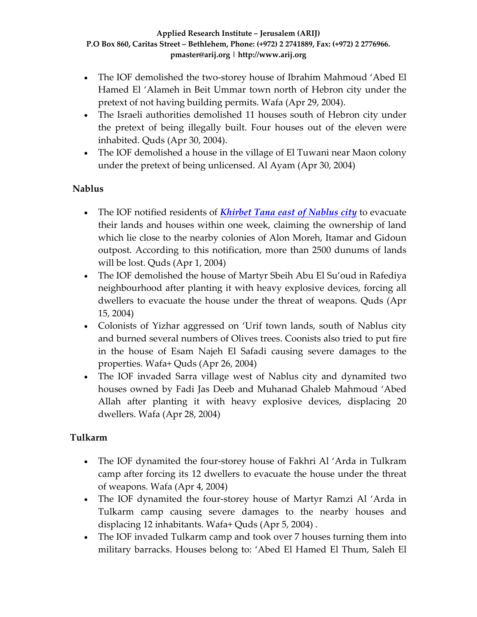- The IOF demolished the two-storey house of Ibrahim Mahmoud 'Abed El Hamed El 'Alameh in Beit Ummar town north of Hebron city under the pretext of not having building permits. Wafa (Apr 29, 2004).
- The Israeli authorities demolished 11 houses south of Hebron city under the pretext of being illegally built. Four houses out of the eleven were inhabited. Quds (Apr 30, 2004).
- The IOF demolished a house in the village of El Tuwani near Maon colony under the pretext of being unlicensed. Al Ayam (Apr 30, 2004)

### **Nablus**

- The IOF notified residents of *[Khirbet](http://www.poica.org/editor/case_studies/view.php?recordID=385) Tana east of Nablus city* to evacuate their lands and houses within one week, claiming the ownership of land which lie close to the nearby colonies of Alon Moreh, Itamar and Gidoun outpost. According to this notification, more than 2500 dunums of lands will be lost. Quds (Apr 1, 2004)
- The IOF demolished the house of Martyr Sbeih Abu El Su'oud in Rafediya neighbourhood after planting it with heavy explosive devices, forcing all dwellers to evacuate the house under the threat of weapons. Quds (Apr 15, 2004)
- Colonists of Yizhar aggressed on 'Urif town lands, south of Nablus city and burned several numbers of Olives trees. Coonists also tried to put fire in the house of Esam Najeh El Safadi causing severe damages to the properties. Wafa+ Quds (Apr 26, 2004)
- The IOF invaded Sarra village west of Nablus city and dynamited two houses owned by Fadi Jas Deeb and Muhanad Ghaleb Mahmoud 'Abed Allah after planting it with heavy explosive devices, displacing 20 dwellers. Wafa (Apr 28, 2004)

### **Tulkarm**

- The IOF dynamited the four-storey house of Fakhri Al 'Arda in Tulkram camp after forcing its 12 dwellers to evacuate the house under the threat of weapons. Wafa (Apr 4, 2004)
- The IOF dynamited the four-storey house of Martyr Ramzi Al 'Arda in Tulkarm camp causing severe damages to the nearby houses and displacing 12 inhabitants. Wafa+ Quds (Apr 5, 2004) .
- The IOF invaded Tulkarm camp and took over 7 houses turning them into military barracks. Houses belong to: 'Abed El Hamed El Thum, Saleh El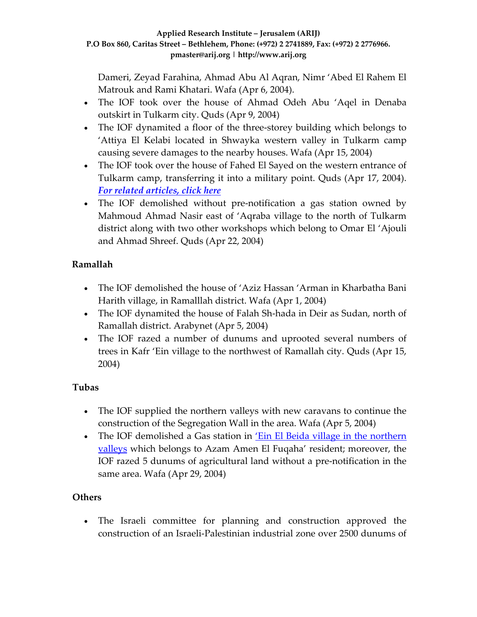Dameri, Zeyad Farahina, Ahmad Abu Al Aqran, Nimr 'Abed El Rahem El Matrouk and Rami Khatari. Wafa (Apr 6, 2004).

- The IOF took over the house of Ahmad Odeh Abu 'Aqel in Denaba outskirt in Tulkarm city. Quds (Apr 9, 2004)
- The IOF dynamited a floor of the three-storey building which belongs to 'Attiya El Kelabi located in Shwayka western valley in Tulkarm camp causing severe damages to the nearby houses. Wafa (Apr 15, 2004)
- The IOF took over the house of Fahed El Sayed on the western entrance of Tulkarm camp, transferring it into a military point. Quds (Apr 17, 2004). *For related [articles,](http://www.poica.org/editor/case_studies/view.php?recordID=262) click here*
- The IOF demolished without pre-notification a gas station owned by Mahmoud Ahmad Nasir east of 'Aqraba village to the north of Tulkarm district along with two other workshops which belong to Omar El 'Ajouli and Ahmad Shreef. Quds (Apr 22, 2004)

## **Ramallah**

- The IOF demolished the house of 'Aziz Hassan 'Arman in Kharbatha Bani Harith village, in Ramalllah district. Wafa (Apr 1, 2004)
- The IOF dynamited the house of Falah Sh-hada in Deir as Sudan, north of Ramallah district. Arabynet (Apr 5, 2004)
- The IOF razed a number of dunums and uprooted several numbers of trees in Kafr 'Ein village to the northwest of Ramallah city. Quds (Apr 15, 2004)

## **Tubas**

- The IOF supplied the northern valleys with new caravans to continue the construction of the Segregation Wall in the area. Wafa (Apr 5, 2004)
- The IOF demolished a Gas station in <u>'Ein El Beida village in the [northern](http://www.poica.org/editor/case_studies/view.php?recordID=375)</u> [valleys](http://www.poica.org/editor/case_studies/view.php?recordID=375) which belongs to Azam Amen El Fuqaha' resident; moreover, the IOF razed 5 dunums of agricultural land without a pre‐notification in the same area. Wafa (Apr 29, 2004)

# **Others**

• The Israeli committee for planning and construction approved the construction of an Israeli‐Palestinian industrial zone over 2500 dunums of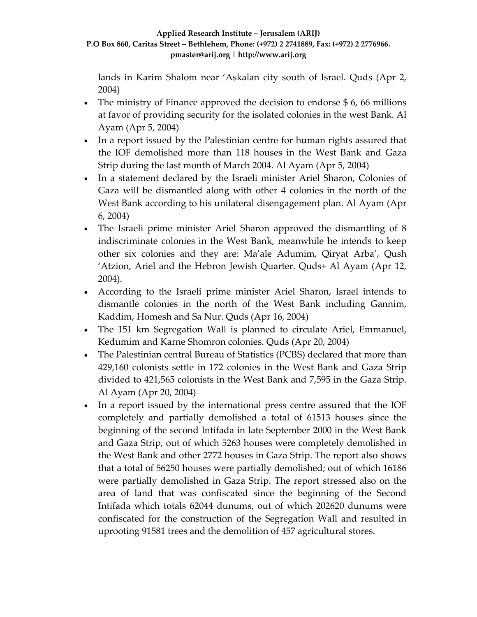lands in Karim Shalom near 'Askalan city south of Israel. Quds (Apr 2, 2004)

- The ministry of Finance approved the decision to endorse  $$6, 66$  millions at favor of providing security for the isolated colonies in the west Bank. Al Ayam (Apr 5, 2004)
- In a report issued by the Palestinian centre for human rights assured that the IOF demolished more than 118 houses in the West Bank and Gaza Strip during the last month of March 2004. Al Ayam (Apr 5, 2004)
- In a statement declared by the Israeli minister Ariel Sharon, Colonies of Gaza will be dismantled along with other 4 colonies in the north of the West Bank according to his unilateral disengagement plan. Al Ayam (Apr 6, 2004)
- The Israeli prime minister Ariel Sharon approved the dismantling of 8 indiscriminate colonies in the West Bank, meanwhile he intends to keep other six colonies and they are: Ma'ale Adumim, Qiryat Arba', Qush 'Atzion, Ariel and the Hebron Jewish Quarter. Quds+ Al Ayam (Apr 12, 2004).
- According to the Israeli prime minister Ariel Sharon, Israel intends to dismantle colonies in the north of the West Bank including Gannim, Kaddim, Homesh and Sa Nur. Quds (Apr 16, 2004)
- The 151 km Segregation Wall is planned to circulate Ariel, Emmanuel, Kedumim and Karne Shomron colonies. Quds (Apr 20, 2004)
- The Palestinian central Bureau of Statistics (PCBS) declared that more than 429,160 colonists settle in 172 colonies in the West Bank and Gaza Strip divided to 421,565 colonists in the West Bank and 7,595 in the Gaza Strip. Al Ayam (Apr 20, 2004)
- In a report issued by the international press centre assured that the IOF completely and partially demolished a total of 61513 houses since the beginning of the second Intifada in late September 2000 in the West Bank and Gaza Strip, out of which 5263 houses were completely demolished in the West Bank and other 2772 houses in Gaza Strip. The report also shows that a total of 56250 houses were partially demolished; out of which 16186 were partially demolished in Gaza Strip. The report stressed also on the area of land that was confiscated since the beginning of the Second Intifada which totals 62044 dunums, out of which 202620 dunums were confiscated for the construction of the Segregation Wall and resulted in uprooting 91581 trees and the demolition of 457 agricultural stores.